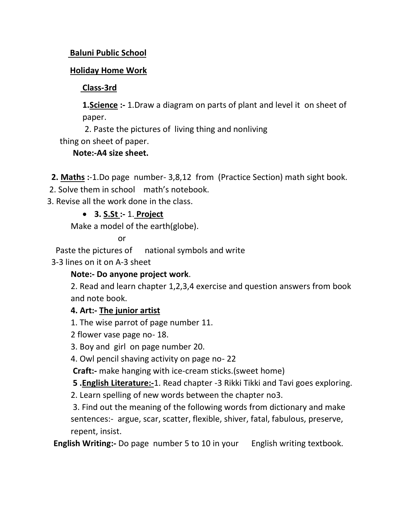### **Baluni Public School**

## **Holiday Home Work**

## **Class-3rd**

**1.Science :-** 1.Draw a diagram on parts of plant and level it on sheet of paper.

2. Paste the pictures of living thing and nonliving

thing on sheet of paper.

**Note:-A4 size sheet.**

 **2. Maths :**-1.Do page number- 3,8,12 from (Practice Section) math sight book.

2. Solve them in school math's notebook.

3. Revise all the work done in the class.

# • **3. S.St :-** 1. **Project**

Make a model of the earth(globe).

or

Paste the pictures of national symbols and write

3-3 lines on it on A-3 sheet

### **Note:- Do anyone project work**.

2. Read and learn chapter 1,2,3,4 exercise and question answers from book and note book.

### **4. Art:- The junior artist**

1. The wise parrot of page number 11.

2 flower vase page no- 18.

3. Boy and girl on page number 20.

4. Owl pencil shaving activity on page no- 22

**Craft:-** make hanging with ice-cream sticks.(sweet home)

**5 .English Literature:-**1. Read chapter -3 Rikki Tikki and Tavi goes exploring.

2. Learn spelling of new words between the chapter no3.

3. Find out the meaning of the following words from dictionary and make sentences:- argue, scar, scatter, flexible, shiver, fatal, fabulous, preserve, repent, insist.

**English Writing:-** Do page number 5 to 10 in your English writing textbook.